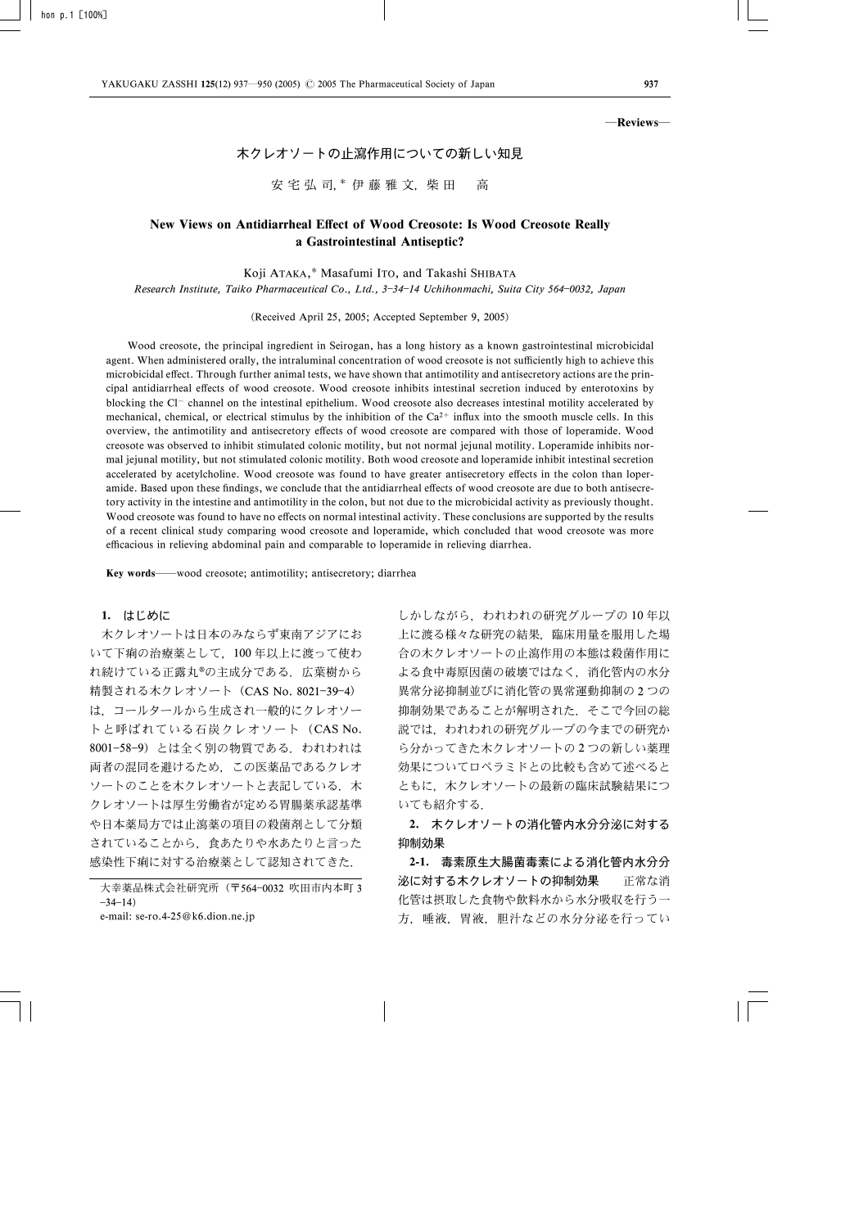―Reviews―

# 木クレオソートの止瀉作用についての新しい知見

# 安 宅 弘 司, \* 伊 藤 雅 文, 柴 田 高

# New Views on Antidiarrheal Effect of Wood Creosote: Is Wood Creosote Really a Gastrointestinal Antiseptic?

Koji ATAKA,\* Masafumi ITO, and Takashi SHIBATA Research Institute, Taiko Pharmaceutical Co., Ltd., 3-34-14 Uchihonmachi, Suita City 564-0032, Japan

(Received April 25, 2005; Accepted September 9, 2005)

Wood creosote, the principal ingredient in Seirogan, has a long history as a known gastrointestinal microbicidal agent. When administered orally, the intraluminal concentration of wood creosote is not sufficiently high to achieve this microbicidal effect. Through further animal tests, we have shown that antimotility and antisecretory actions are the principal antidiarrheal effects of wood creosote. Wood creosote inhibits intestinal secretion induced by enterotoxins by blocking the Cl<sup>-</sup> channel on the intestinal epithelium. Wood creosote also decreases intestinal motility accelerated by mechanical, chemical, or electrical stimulus by the inhibition of the  $Ca^{2+}$  influx into the smooth muscle cells. In this overview, the antimotility and antisecretory effects of wood creosote are compared with those of loperamide. Wood creosote was observed to inhibit stimulated colonic motility, but not normal jejunal motility. Loperamide inhibits normal jejunal motility, but not stimulated colonic motility. Both wood creosote and loperamide inhibit intestinal secretion accelerated by acetylcholine. Wood creosote was found to have greater antisecretory effects in the colon than loperamide. Based upon these findings, we conclude that the antidiarrheal effects of wood creosote are due to both antisecretory activity in the intestine and antimotility in the colon, but not due to the microbicidal activity as previously thought. Wood creosote was found to have no effects on normal intestinal activity. These conclusions are supported by the results of a recent clinical study comparing wood creosote and loperamide, which concluded that wood creosote was more efficacious in relieving abdominal pain and comparable to loperamide in relieving diarrhea.

Key words―wood creosote; antimotility; antisecretory; diarrhea

### 1. はじめに

木クレオソートは日本のみならず東南アジアにお いて下痢の治療薬として,100 年以上に渡って使わ れ続けている正露丸®の主成分である. 広葉樹から 精製される木クレオソート (CAS No. 8021-39-4) は,コールタールから生成され一般的にクレオソー トと呼ばれている石炭クレオソート (CAS No. 8001-58-9) とは全く別の物質である. われわれは 両者の混同を避けるため,この医薬品であるクレオ ソートのことを木クレオソートと表記している.木 クレオソートは厚生労働省が定める胃腸薬承認基準 や日本薬局方では止瀉薬の項目の殺菌剤として分類 されていることから,食あたりや水あたりと言った 感染性下痢に対する治療薬として認知されてきた.

大幸薬品株式会社研究所 (〒564-0032 吹田市内本町 3  $-34-14)$ 

e-mail: se-ro.4-25@k6.dion.ne.jp

しかしながら,われわれの研究グループの 10 年以 上に渡る様々な研究の結果,臨床用量を服用した場 合の木クレオソートの止瀉作用の本態は殺菌作用に よる食中毒原因菌の破壊ではなく,消化管内の水分 異常分泌抑制並びに消化管の異常運動抑制の 2 つの 抑制効果であることが解明された.そこで今回の総 説では,われわれの研究グループの今までの研究か ら分かってきた木クレオソートの 2 つの新しい薬理 効果についてロペラミドとの比較も含めて述べると ともに,木クレオソートの最新の臨床試験結果につ いても紹介する.

2. 木クレオソートの消化管内水分分泌に対する 抑制効果

2-1. 毒素原生大腸菌毒素による消化管内水分分 泌に対する木クレオソートの抑制効果 正常な消 化管は摂取した食物や飲料水から水分吸収を行う一 方,唾液,胃液,胆汁などの水分分泌を行ってい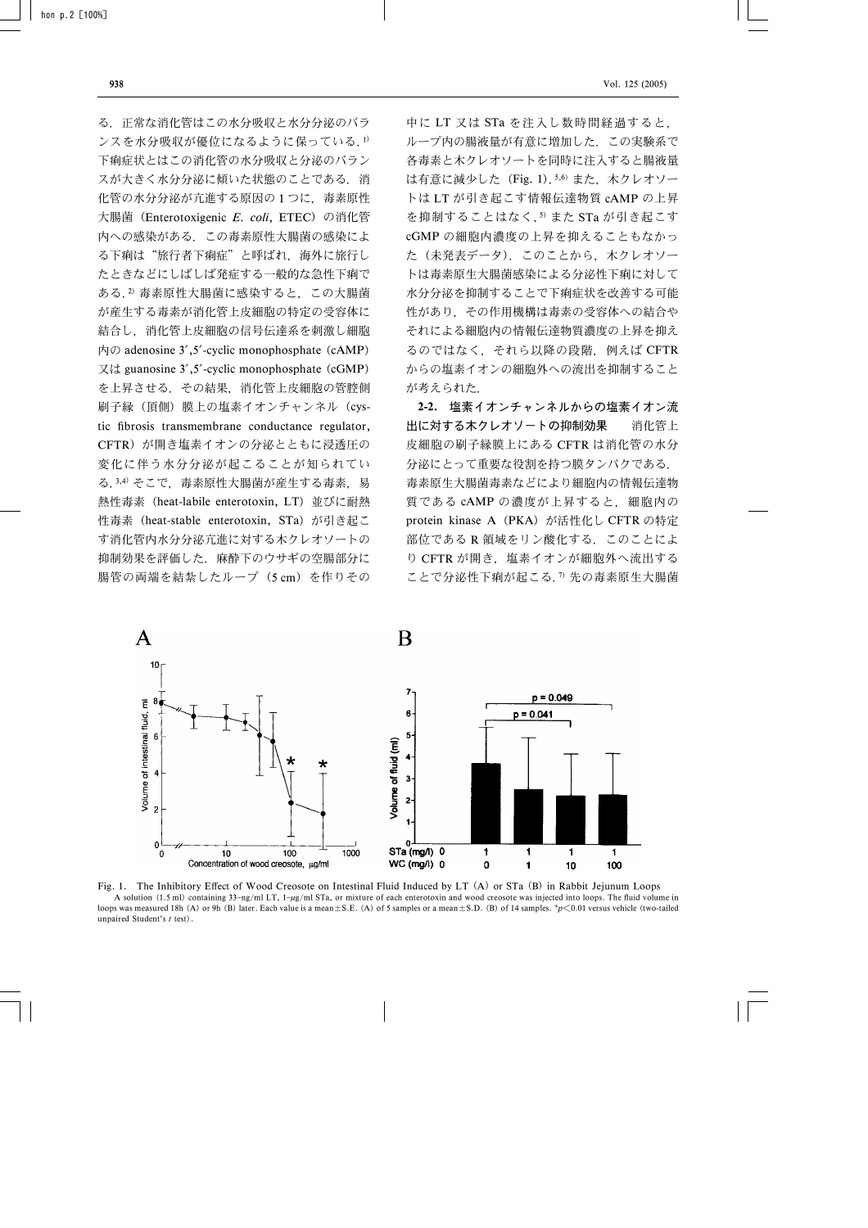る.正常な消化管はこの水分吸収と水分分泌のバラ ンスを水分吸収が優位になるように保っている.1) 下痢症状とはこの消化管の水分吸収と分泌のバラン スが大きく水分分泌に傾いた状態のことである.消 化管の水分分泌が亢進する原因の 1 つに,毒素原性 大腸菌 (Enterotoxigenic E. coli, ETEC) の消化管 内への感染がある.この毒素原性大腸菌の感染によ る下痢は"旅行者下痢症"と呼ばれ,海外に旅行し たときなどにしばしば発症する一般的な急性下痢で ある.2) 毒素原性大腸菌に感染すると、この大腸菌 が産生する毒素が消化管上皮細胞の特定の受容体に 結合し,消化管上皮細胞の信号伝達系を刺激し細胞 内の adenosine 3′,5′-cyclic monophosphate (cAMP) 又は guanosine 3′,5′-cyclic monophosphate (cGMP) を上昇させる.その結果,消化管上皮細胞の管腔側 刷子縁(頂側)膜上の塩素イオンチャンネル (cystic fibrosis transmembrane conductance regulator, CFTR)が開き塩素イオンの分泌とともに浸透圧の 変化に伴う水分分泌が起こることが知られてい る. 3,4) そこで、毒素原性大腸菌が産生する毒素、易 熱性毒素 (heat-labile enterotoxin, LT) 並びに耐熱 性毒素 (heat-stable enterotoxin, STa) が引き起こ す消化管内水分分泌亢進に対する木クレオソートの 抑制効果を評価した.麻酔下のウサギの空腸部分に 腸管の両端を結紮したループ (5 cm) を作りその 中に LT 又は STa を注入し数時間経過すると, ループ内の腸液量が有意に増加した.この実験系で 各毒素と木クレオソートを同時に注入すると腸液量 は有意に減少した (Fig. 1). 5,6) また、木クレオソー トは LT が引き起こす情報伝達物質 cAMP の上昇 を抑制することはなく, 5) また STa が引き起こす cGMP の細胞内濃度の上昇を抑えることもなかっ た(未発表データ).このことから,木クレオソー トは毒素原生大腸菌感染による分泌性下痢に対して 水分分泌を抑制することで下痢症状を改善する可能 性があり,その作用機構は毒素の受容体への結合や それによる細胞内の情報伝達物質濃度の上昇を抑え るのではなく,それら以降の段階,例えば CFTR からの塩素イオンの細胞外への流出を抑制すること が考えられた.

2-2. 塩素イオンチャンネルからの塩素イオン流 出に対する木クレオソートの抑制効果 消化管上 皮細胞の刷子縁膜上にある CFTR は消化管の水分 分泌にとって重要な役割を持つ膜タンパクである. 毒素原生大腸菌毒素などにより細胞内の情報伝達物 質である cAMP の濃度が上昇すると、細胞内の protein kinase A (PKA) が活性化し CFTR の特定 部位である R 領域をリン酸化する. このことによ り CFTR が開き、塩素イオンが細胞外へ流出する ことで分泌性下痢が起こる.7) 先の毒素原生大腸菌



Fig. 1. The Inhibitory Effect of Wood Creosote on Intestinal Fluid Induced by LT (A) or STa (B) in Rabbit Jejunum Loops A solution (1.5 ml) containing 33-ng/ml LT, 1-µg/ml STa, or mixture of each enterotoxin and wood creosote was injected into loops. The fluid volume in loops was measured 18h (A) or 9h (B) later. Each value is a mean $\pm$ S.E. (A) of 5 samples or a mean $\pm$ S.D. (B) of 14 samples.  $\bar{p}$   $\leq$  0.01 versus vehicle (two-tailed unpaired Student's t test).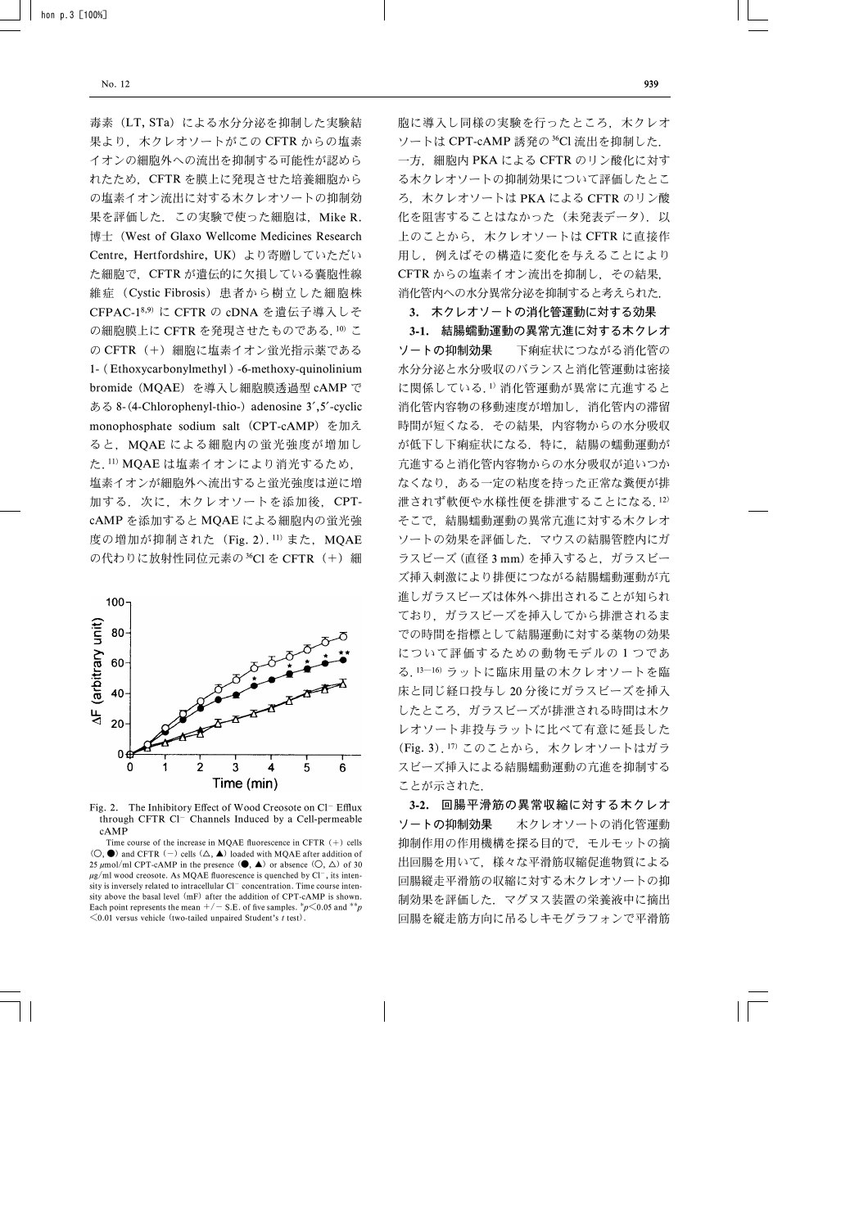毒素(LT, STa)による水分分泌を抑制した実験結 果より、木クレオソートがこの CFTR からの塩素 イオンの細胞外への流出を抑制する可能性が認めら れたため、CFTR を膜上に発現させた培養細胞から の塩素イオン流出に対する木クレオソートの抑制効 果を評価した. この実験で使った細胞は、Mike R. 博士 (West of Glaxo Wellcome Medicines Research Centre, Hertfordshire, UK) より寄贈していただい た細胞で,CFTR が遺伝的に欠損している嚢胞性線 維症(Cystic Fibrosis)患者から樹立した細胞株 CFPAC-18,9) に CFTR の cDNA を遺伝子導入しそ の細胞膜上に CFTR を発現させたものである.10) こ の CFTR (+) 細胞に塩素イオン蛍光指示薬である 1- ( Ethoxycarbonylmethyl ) -6-methoxy-quinolinium bromide (MQAE)を導入し細胞膜透過型 cAMP で ある 8-(4-Chlorophenyl-thio-) adenosine 3′,5′-cyclic monophosphate sodium salt (CPT-cAMP) を加え ると、MQAE による細胞内の蛍光強度が増加し た.11) MQAE は塩素イオンにより消光するため, 塩素イオンが細胞外へ流出すると蛍光強度は逆に増 加する.次に,木クレオソートを添加後,CPTcAMP を添加すると MQAE による細胞内の蛍光強 度の増加が抑制された (Fig. 2).<sup>11)</sup> また, MQAE の代わりに放射性同位元素の<sup>36</sup>Cl を CFTR (+) 細



Fig. 2. The Inhibitory Effect of Wood Creosote on Cl<sup>-</sup> Efflux through CFTR Cl<sup>-</sup> Channels Induced by a Cell-permeable cAMP

Time course of the increase in MQAE fluorescence in CFTR  $(+)$  cells  $(O, \bullet)$  and CFTR  $(-)$  cells  $(\triangle, \bullet)$  loaded with MQAE after addition of 25  $\mu$ mol/ml CPT-cAMP in the presence ( $\bullet$ ,  $\blacktriangle$ ) or absence ( $\circ$ ),  $\triangle$ ) of 30  $\mu$ g/ml wood creosote. As MQAE fluorescence is quenched by Cl<sup>-</sup>, its intensity is inversely related to intracellular Cl<sup>-</sup> concentration. Time course intensity above the basal level (mF) after the addition of CPT-cAMP is shown. Each point represents the mean  $+/-$  S.E. of five samples. \* $p \le 0.05$  and \*\* $p$  $\leq$ 0.01 versus vehicle (two-tailed unpaired Student's t test).

胞に導入し同様の実験を行ったところ,木クレオ ソートは CPT-cAMP 誘発の 36Cl 流出を抑制した. 一方,細胞内 PKA による CFTR のリン酸化に対す る木クレオソートの抑制効果について評価したとこ ろ,木クレオソートは PKA による CFTR のリン酸 化を阻害することはなかった (未発表データ). 以 上のことから、木クレオソートは CFTR に直接作 用し,例えばその構造に変化を与えることにより CFTR からの塩素イオン流出を抑制し,その結果, 消化管内への水分異常分泌を抑制すると考えられた.

3. 木クレオソートの消化管運動に対する効果

3-1. 結腸蠕動運動の異常亢進に対する木クレオ ソートの抑制効果 下痢症状につながる消化管の 水分分泌と水分吸収のバランスと消化管運動は密接 に関係している.1) 消化管運動が異常に亢進すると 消化管内容物の移動速度が増加し,消化管内の滞留 時間が短くなる.その結果,内容物からの水分吸収 が低下し下痢症状になる.特に,結腸の蠕動運動が 亢進すると消化管内容物からの水分吸収が追いつか なくなり,ある一定の粘度を持った正常な糞便が排 泄されず軟便や水様性便を排泄することになる.12) そこで,結腸蠕動運動の異常亢進に対する木クレオ ソートの効果を評価した.マウスの結腸管腔内にガ ラスビーズ(直径 3 mm)を挿入すると,ガラスビー ズ挿入刺激により排便につながる結腸蠕動運動が亢 進しガラスビーズは体外へ排出されることが知られ ており、ガラスビーズを挿入してから排泄されるま での時間を指標として結腸運動に対する薬物の効果 について評価するための動物モデルの 1 つであ る.13―16) ラットに臨床用量の木クレオソートを臨 床と同じ経口投与し 20 分後にガラスビーズを挿入 したところ,ガラスビーズが排泄される時間は木ク レオソート非投与ラットに比べて有意に延長した (Fig. 3).17) このことから,木クレオソートはガラ スビーズ挿入による結腸蠕動運動の亢進を抑制する ことが示された.

3-2. 回腸平滑筋の異常収縮に対する木クレオ ソートの抑制効果 木クレオソートの消化管運動 抑制作用の作用機構を探る目的で,モルモットの摘 出回腸を用いて,様々な平滑筋収縮促進物質による 回腸縦走平滑筋の収縮に対する木クレオソートの抑 制効果を評価した.マグヌス装置の栄養液中に摘出 回腸を縦走筋方向に吊るしキモグラフォンで平滑筋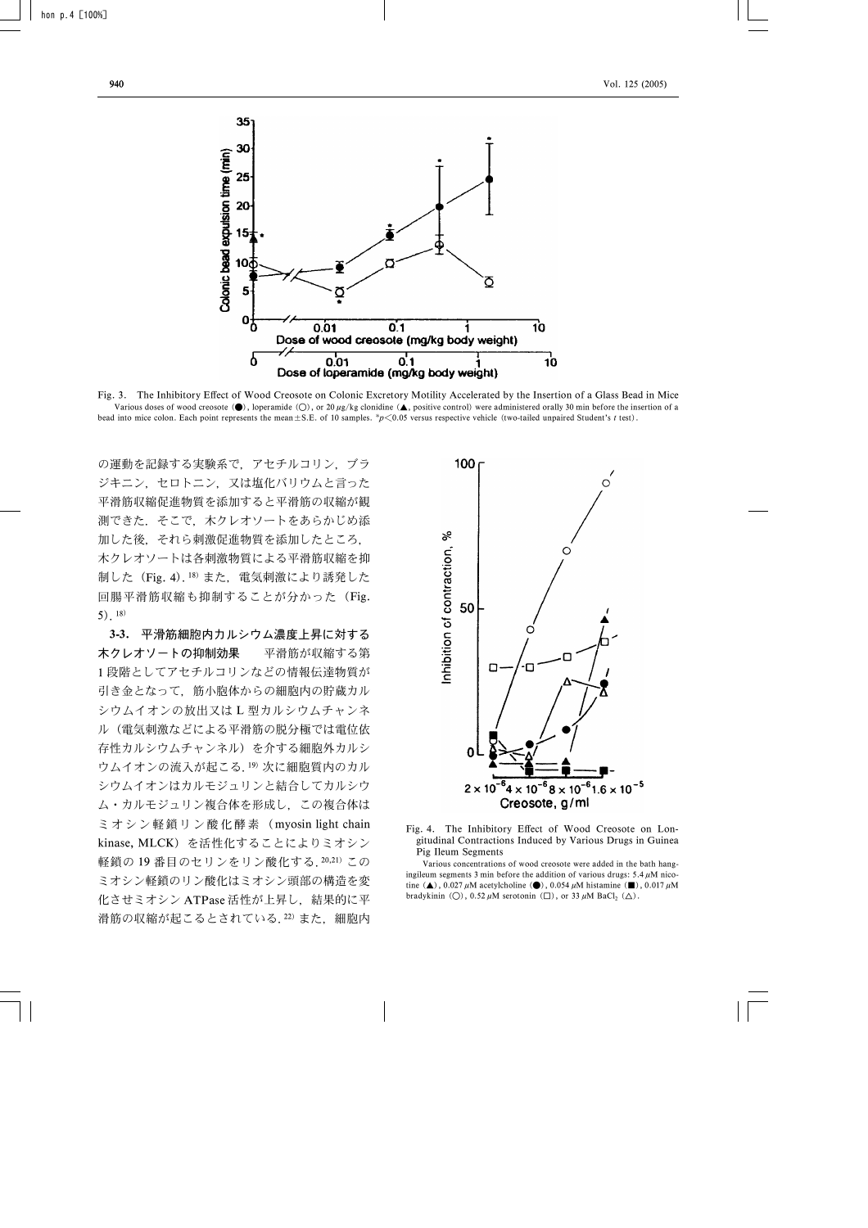

Fig. 3. The Inhibitory Effect of Wood Creosote on Colonic Excretory Motility Accelerated by the Insertion of a Glass Bead in Mice Various doses of wood creosote (●), loperamide (○), or 20  $\mu$ g/kg clonidine (▲, positive control) were administered orally 30 min before the insertion of a bead into mice colon. Each point represents the mean  $\pm$  S.E. of 10 samples. \*p<0.05 versus respective vehicle (two-tailed unpaired Student's t test).

の運動を記録する実験系で,アセチルコリン,ブラ ジキニン、セロトニン、又は塩化バリウムと言った 平滑筋収縮促進物質を添加すると平滑筋の収縮が観 測できた.そこで,木クレオソートをあらかじめ添 加した後,それら刺激促進物質を添加したところ, 木クレオソートは各刺激物質による平滑筋収縮を抑 制した (Fig. 4).<sup>18)</sup> また、電気刺激により誘発した 回腸平滑筋収縮も抑制することが分かった(Fig. 5).18)

3-3. 平滑筋細胞内カルシウム濃度上昇に対する 木クレオソートの抑制効果 平滑筋が収縮する第 1 段階としてアセチルコリンなどの情報伝達物質が 引き金となって,筋小胞体からの細胞内の貯蔵カル シウムイオンの放出又は L 型カルシウムチャンネ ル(電気刺激などによる平滑筋の脱分極では電位依 存性カルシウムチャンネル)を介する細胞外カルシ ウムイオンの流入が起こる.19) 次に細胞質内のカル シウムイオンはカルモジュリンと結合してカルシウ ム・カルモジュリン複合体を形成し,この複合体は ミオシン軽鎖リン酸化酵素(myosin light chain kinase, MLCK) を活性化することによりミオシン 軽鎖の 19 番目のセリンをリン酸化する.20,21) この ミオシン軽鎖のリン酸化はミオシン頭部の構造を変 化させミオシン ATPase 活性が上昇し、結果的に平 滑筋の収縮が起こるとされている. 22) また、細胞内



Fig. 4. The Inhibitory Effect of Wood Creosote on Longitudinal Contractions Induced by Various Drugs in Guinea Pig Ileum Segments

Various concentrations of wood creosote were added in the bath hangingileum segments 3 min before the addition of various drugs:  $5.4 \mu M$  nicotine ( $\triangle$ ), 0.027  $\mu$ M acetylcholine ( $\bigcirc$ ), 0.054  $\mu$ M histamine ( $\blacksquare$ ), 0.017  $\mu$ M bradykinin (○),  $0.52 \mu M$  serotonin (□), or 33  $\mu M$  BaCl<sub>2</sub> (△).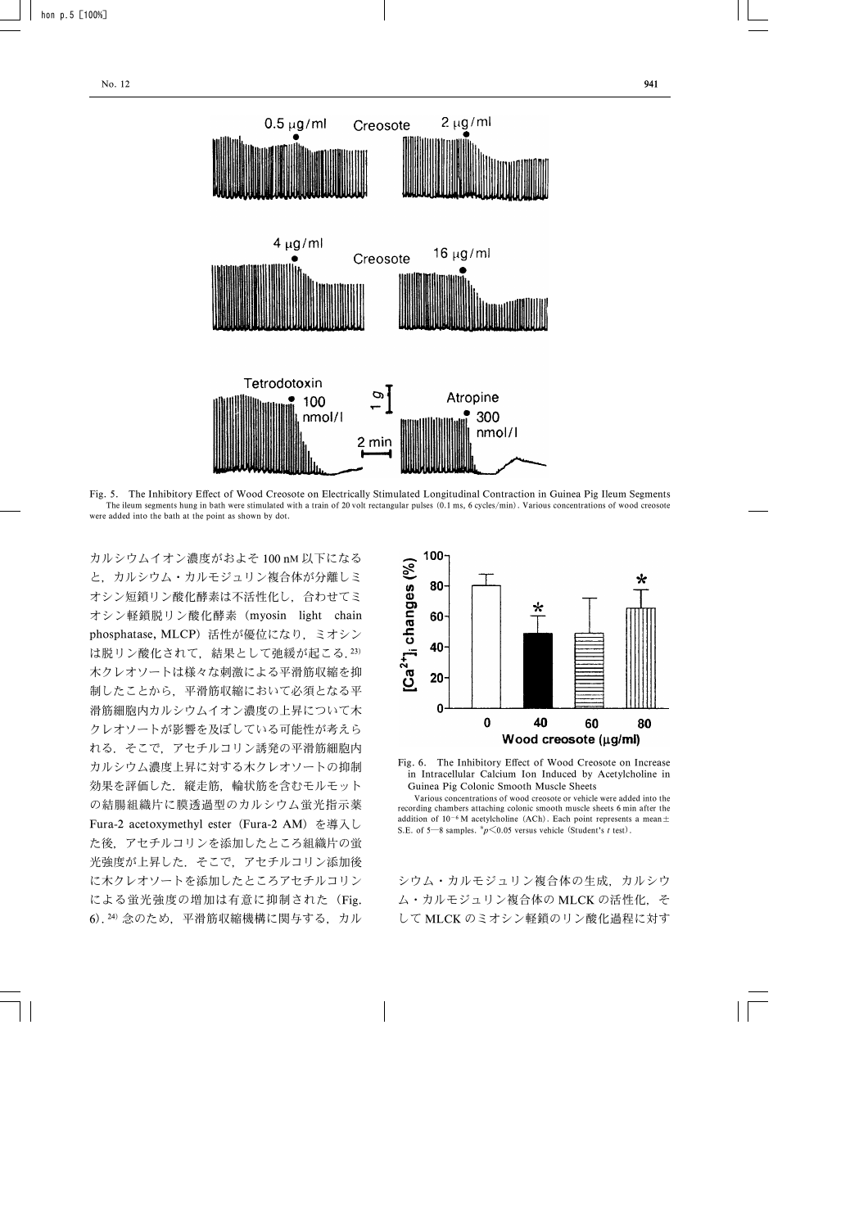

Fig. 5. The Inhibitory Effect of Wood Creosote on Electrically Stimulated Longitudinal Contraction in Guinea Pig Ileum Segments The ileum segments hung in bath were stimulated with a train of 20 volt rectangular pulses (0.1 ms, 6 cycles/min). Various concentrations of wood creosote were added into the bath at the point as shown by dot.

カルシウムイオン濃度がおよそ 100 nM 以下になる と,カルシウム・カルモジュリン複合体が分離しミ オシン短鎖リン酸化酵素は不活性化し,合わせてミ オシン軽鎖脱リン酸化酵素(myosin light chain phosphatase, MLCP)活性が優位になり、ミオシン は脱リン酸化されて,結果として弛緩が起こる.23) 木クレオソートは様々な刺激による平滑筋収縮を抑 制したことから,平滑筋収縮において必須となる平 滑筋細胞内カルシウムイオン濃度の上昇について木 クレオソートが影響を及ぼしている可能性が考えら れる.そこで,アセチルコリン誘発の平滑筋細胞内 カルシウム濃度上昇に対する木クレオソートの抑制 効果を評価した.縦走筋,輪状筋を含むモルモット の結腸組織片に膜透過型のカルシウム蛍光指示薬 Fura-2 acetoxymethyl ester (Fura-2 AM)を導入し た後、アセチルコリンを添加したところ組織片の蛍 光強度が上昇した. そこで、アセチルコリン添加後 に木クレオソートを添加したところアセチルコリン による蛍光強度の増加は有意に抑制された (Fig. 6).24) 念のため,平滑筋収縮機構に関与する,カル





Various concentrations of wood creosote or vehicle were added into the recording chambers attaching colonic smooth muscle sheets 6 min after the addition of  $10^{-6}$  M acetylcholine (ACh). Each point represents a mean $\pm$ S.E. of 5—8 samples.  $p \leq 0.05$  versus vehicle (Student's t test).

シウム・カルモジュリン複合体の生成,カルシウ ム・カルモジュリン複合体の MLCK の活性化, そ して MLCK のミオシン軽鎖のリン酸化過程に対す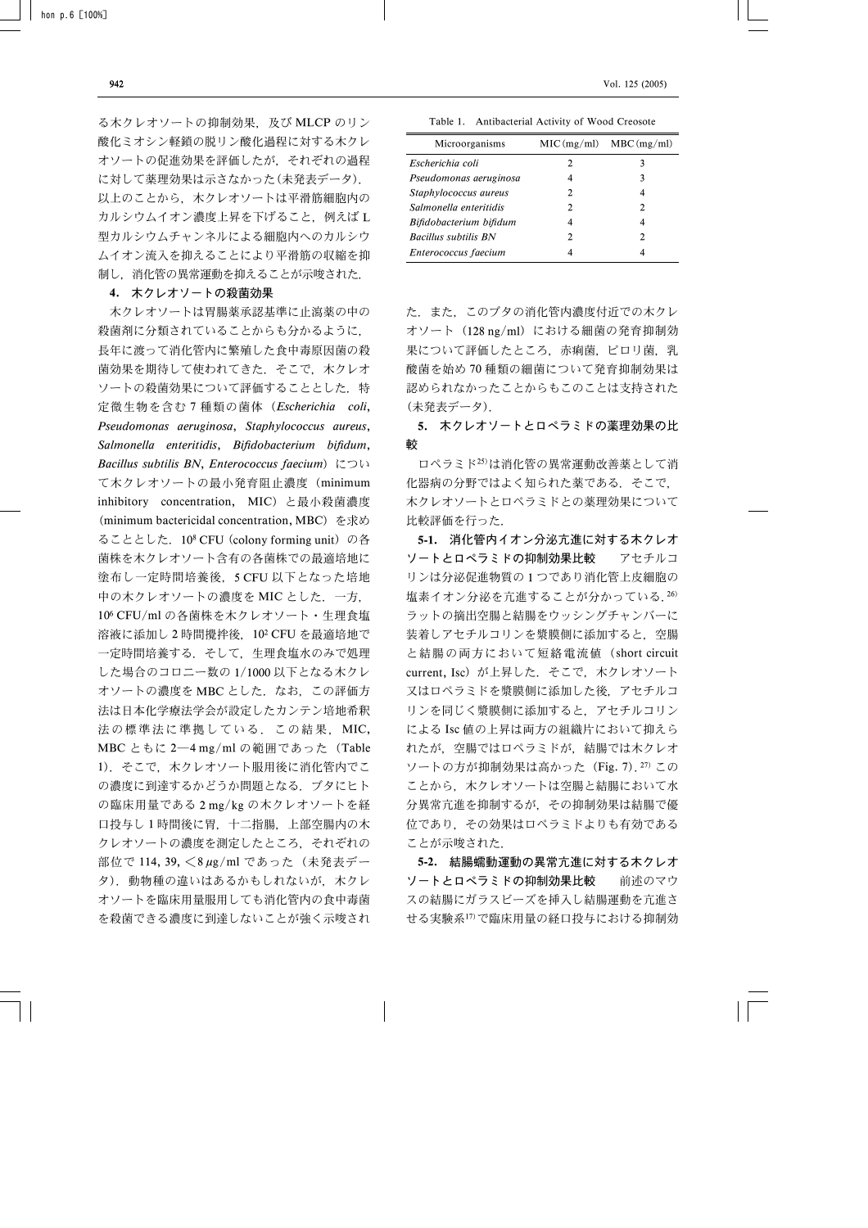る木クレオソートの抑制効果, 及び MLCP のリン 酸化ミオシン軽鎖の脱リン酸化過程に対する木クレ オソートの促進効果を評価したが,それぞれの過程 に対して薬理効果は示さなかった(未発表データ). 以上のことから,木クレオソートは平滑筋細胞内の カルシウムイオン濃度上昇を下げること,例えば L 型カルシウムチャンネルによる細胞内へのカルシウ ムイオン流入を抑えることにより平滑筋の収縮を抑 制し,消化管の異常運動を抑えることが示唆された.

## 4. 木クレオソートの殺菌効果

木クレオソートは胃腸薬承認基準に止瀉薬の中の 殺菌剤に分類されていることからも分かるように, 長年に渡って消化管内に繁殖した食中毒原因菌の殺 菌効果を期待して使われてきた. そこで、木クレオ ソートの殺菌効果について評価することとした. 特 定微生物を含む 7 種類の菌体(Escherichia coli, Pseudomonas aeruginosa, Staphylococcus aureus, Salmonella enteritidis, Bifidobacterium bifidum, Bacillus subtilis BN, Enterococcus faecium)につい て木クレオソートの最小発育阻止濃度(minimum inhibitory concentration, MIC)と最小殺菌濃度 (minimum bactericidal concentration, MBC) を求め ることとした. 10<sup>8</sup> CFU (colony forming unit) の各 菌株を木クレオソート含有の各菌株での最適培地に 塗布し一定時間培養後,5 CFU 以下となった培地 中の木クレオソートの濃度を MIC とした.一方, 106 CFU/ml の各菌株を木クレオソート・生理食塩 溶液に添加し 2 時間攪拌後,102 CFU を最適培地で 一定時間培養する.そして,生理食塩水のみで処理 した場合のコロニー数の 1/1000 以下となる木クレ オソートの濃度を MBC とした. なお、この評価方 法は日本化学療法学会が設定したカンテン培地希釈 法の標準法に準拠している. この結果, MIC, MBC ともに 2―4 mg/ml の範囲であった(Table 1). そこで、木クレオソート服用後に消化管内でこ の濃度に到達するかどうか問題となる.ブタにヒト の臨床用量である 2 mg/kg の木クレオソートを経 口投与し 1 時間後に胃,十二指腸,上部空腸内の木 クレオソートの濃度を測定したところ,それぞれの 部位で 114, 39, <8 μg/ml であった (未発表デー タ).動物種の違いはあるかもしれないが,木クレ オソートを臨床用量服用しても消化管内の食中毒菌 を殺菌できる濃度に到達しないことが強く示唆され

Table 1. Antibacterial Activity of Wood Creosote

| Microorganisms          |   | $MIC(mg/ml)$ $MBC(mg/ml)$ |
|-------------------------|---|---------------------------|
| Escherichia coli        | 2 | 3                         |
| Pseudomonas aeruginosa  |   |                           |
| Staphylococcus aureus   |   |                           |
| Salmonella enteritidis  | 2 | 2                         |
| Bifidobacterium bifidum |   |                           |
| Bacillus subtilis BN    |   | 2                         |
| Enterococcus faecium    |   |                           |

た.また,このブタの消化管内濃度付近での木クレ オソート (128 ng/ml) における細菌の発育抑制効 果について評価したところ、赤痢菌,ピロリ菌,乳 酸菌を始め 70 種類の細菌について発育抑制効果は 認められなかったことからもこのことは支持された (未発表データ).

5. 木クレオソートとロペラミドの薬理効果の比 較

ロペラミド25)は消化管の異常運動改善薬として消 化器病の分野ではよく知られた薬である. そこで, 木クレオソートとロペラミドとの薬理効果について 比較評価を行った.

5-1. 消化管内イオン分泌亢進に対する木クレオ ソートとロペラミドの抑制効果比較 アセチルコ リンは分泌促進物質の 1 つであり消化管上皮細胞の 塩素イオン分泌を亢進することが分かっている.26) ラットの摘出空腸と結腸をウッシングチャンバーに 装着しアセチルコリンを漿膜側に添加すると、空腸 と結腸の両方において短絡電流値(short circuit current, Isc) が上昇した. そこで、木クレオソート 又はロペラミドを漿膜側に添加した後,アセチルコ リンを同じく漿膜側に添加すると,アセチルコリン による Isc 値の上昇は両方の組織片において抑えら れたが,空腸ではロペラミドが,結腸では木クレオ ソートの方が抑制効果は高かった (Fig. 7). 27) この ことから、木クレオソートは空腸と結腸において水 分異常亢進を抑制するが,その抑制効果は結腸で優 位であり,その効果はロペラミドよりも有効である ことが示唆された.

5-2. 結腸蠕動運動の異常亢進に対する木クレオ ソートとロペラミドの抑制効果比較 前述のマウ スの結腸にガラスビーズを挿入し結腸運動を亢進さ せる実験系17)で臨床用量の経口投与における抑制効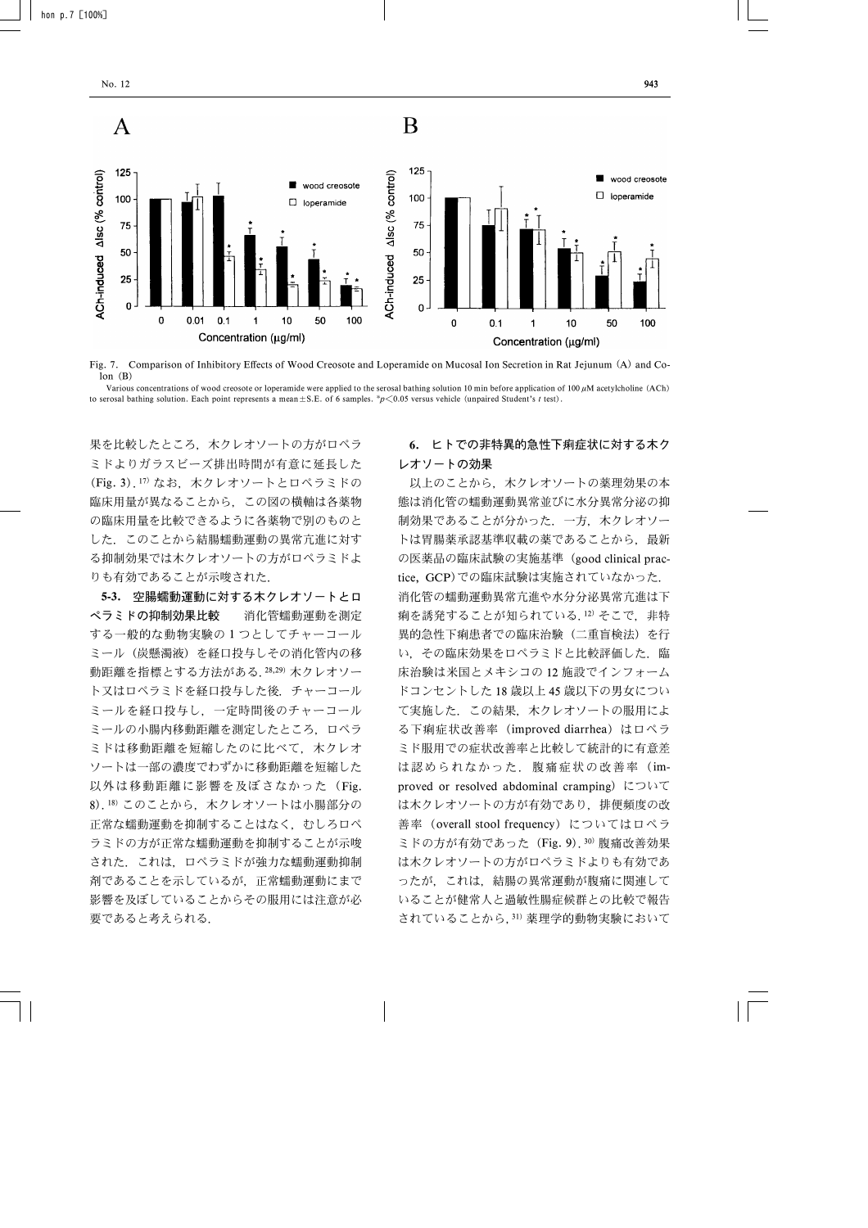

Fig. 7. Comparison of Inhibitory Effects of Wood Creosote and Loperamide on Mucosal Ion Secretion in Rat Jejunum (A) and Co $lon (B)$ 

Various concentrations of wood creosote or loperamide were applied to the serosal bathing solution 10 min before application of 100  $\mu$ M acetylcholine (ACh) to serosal bathing solution. Each point represents a mean $\pm$ S.E. of 6 samples. \*p<0.05 versus vehicle (unpaired Student's t test).

果を比較したところ,木クレオソートの方がロペラ ミドよりガラスビーズ排出時間が有意に延長した (Fig. 3).17) なお,木クレオソートとロペラミドの 臨床用量が異なることから,この図の横軸は各薬物 の臨床用量を比較できるように各薬物で別のものと した.このことから結腸蠕動運動の異常亢進に対す る抑制効果では木クレオソートの方がロペラミドよ りも有効であることが示唆された.

5-3. 空腸蠕動運動に対する木クレオソートとロ ペラミドの抑制効果比較 消化管蠕動運動を測定 する一般的な動物実験の 1 つとしてチャーコール ミール(炭懸濁液)を経口投与しその消化管内の移 動距離を指標とする方法がある.28,29) 木クレオソー ト又はロペラミドを経口投与した後. チャーコール ミールを経口投与し,一定時間後のチャーコール ミールの小腸内移動距離を測定したところ,ロペラ ミドは移動距離を短縮したのに比べて,木クレオ ソートは一部の濃度でわずかに移動距離を短縮した 以外は移動距離に影響を及ぼさなかった (Fig. 8).18) このことから,木クレオソートは小腸部分の 正常な蠕動運動を抑制することはなく,むしろロペ ラミドの方が正常な蠕動運動を抑制することが示唆 された.これは,ロペラミドが強力な蠕動運動抑制 剤であることを示しているが,正常蠕動運動にまで 影響を及ぼしていることからその服用には注意が必 要であると考えられる.

# 6. ヒトでの非特異的急性下痢症状に対する木ク レオソートの効果

以上のことから,木クレオソートの薬理効果の本 態は消化管の蠕動運動異常並びに水分異常分泌の抑 制効果であることが分かった.一方,木クレオソー トは胃腸薬承認基準収載の薬であることから、最新 の医薬品の臨床試験の実施基準(good clinical practice, GCP)での臨床試験は実施されていなかった. 消化管の蠕動運動異常亢進や水分分泌異常亢進は下 痢を誘発することが知られている.12) そこで,非特 異的急性下痢患者での臨床治験(二重盲検法)を行 い、その臨床効果をロペラミドと比較評価した. 臨 床治験は米国とメキシコの 12 施設でインフォーム ドコンセントした 18 歳以上 45 歳以下の男女につい て実施した.この結果,木クレオソートの服用によ る下痢症状改善率 (improved diarrhea) はロペラ ミド服用での症状改善率と比較して統計的に有意差 は認められなかった. 腹痛症状の改善率(improved or resolved abdominal cramping) について は木クレオソートの方が有効であり,排便頻度の改 善率 (overall stool frequency) についてはロペラ ミドの方が有効であった (Fig. 9). 30) 腹痛改善効果 は木クレオソートの方がロペラミドよりも有効であ ったが,これは,結腸の異常運動が腹痛に関連して いることが健常人と過敏性腸症候群との比較で報告 されていることから,31) 薬理学的動物実験において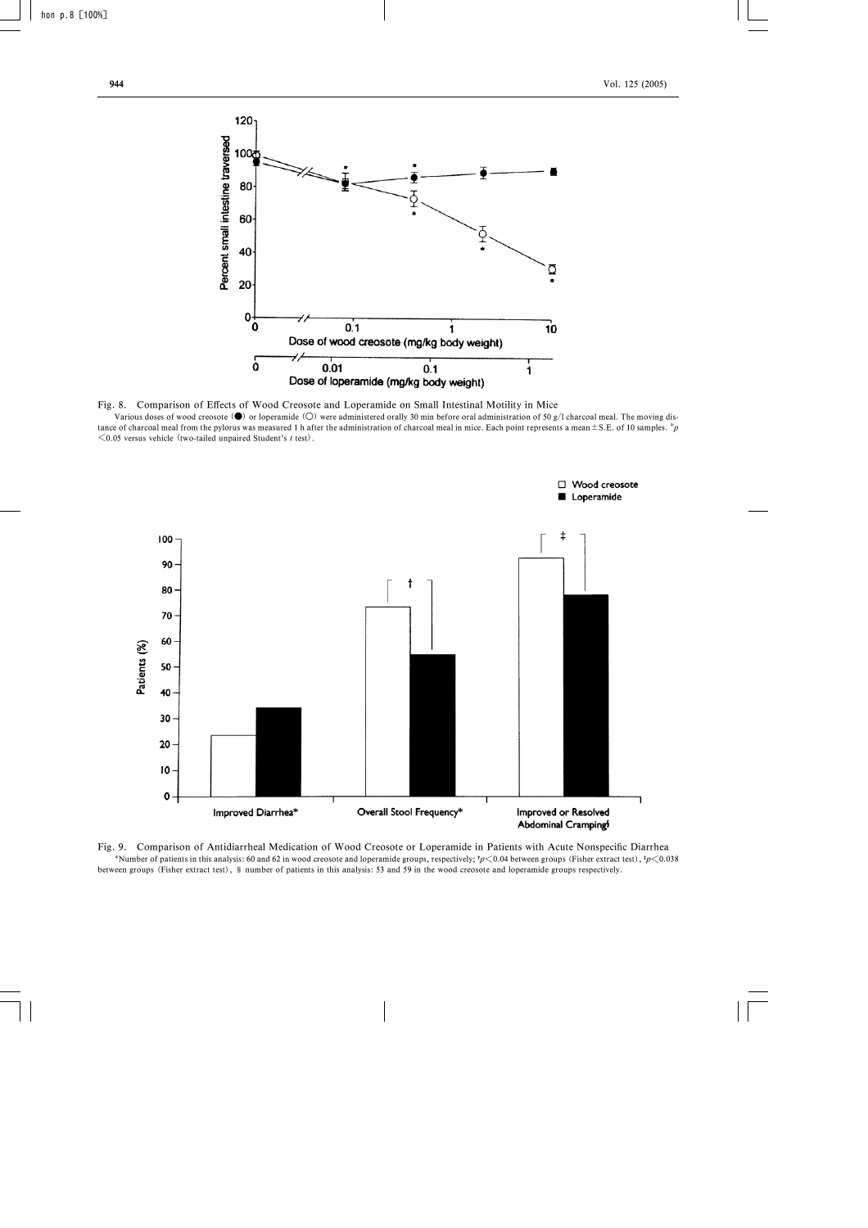

Fig. 8. Comparison of Effects of Wood Creosote and Loperamide on Small Intestinal Motility in Mice Various doses of wood creosote (●) or loperamide (○) were administered orally 30 min before oral administration of 50 g/l charcoal meal. The moving distance of charcoal meal from the pylorus was measured 1 h after the administration of charcoal meal in mice. Each point represents a mean $\pm$ S.E. of 10 samples. \*p  $\leq$ 0.05 versus vehicle (two-tailed unpaired Student's t test).



Fig. 9. Comparison of Antidiarrheal Medication of Wood Creosote or Loperamide in Patients with Acute Nonspecific Diarrhea \*Number of patients in this analysis: 60 and 62 in wood creosote and loperamide groups, respectively;  $\frac{1}{2}$   $\leq$  0.04 between groups (Fisher extract test),  $\frac{1}{2}$   $\leq$  0.038 between groups (Fisher extract test), § number of patients in this analysis: 53 and 59 in the wood creosote and loperamide groups respectively.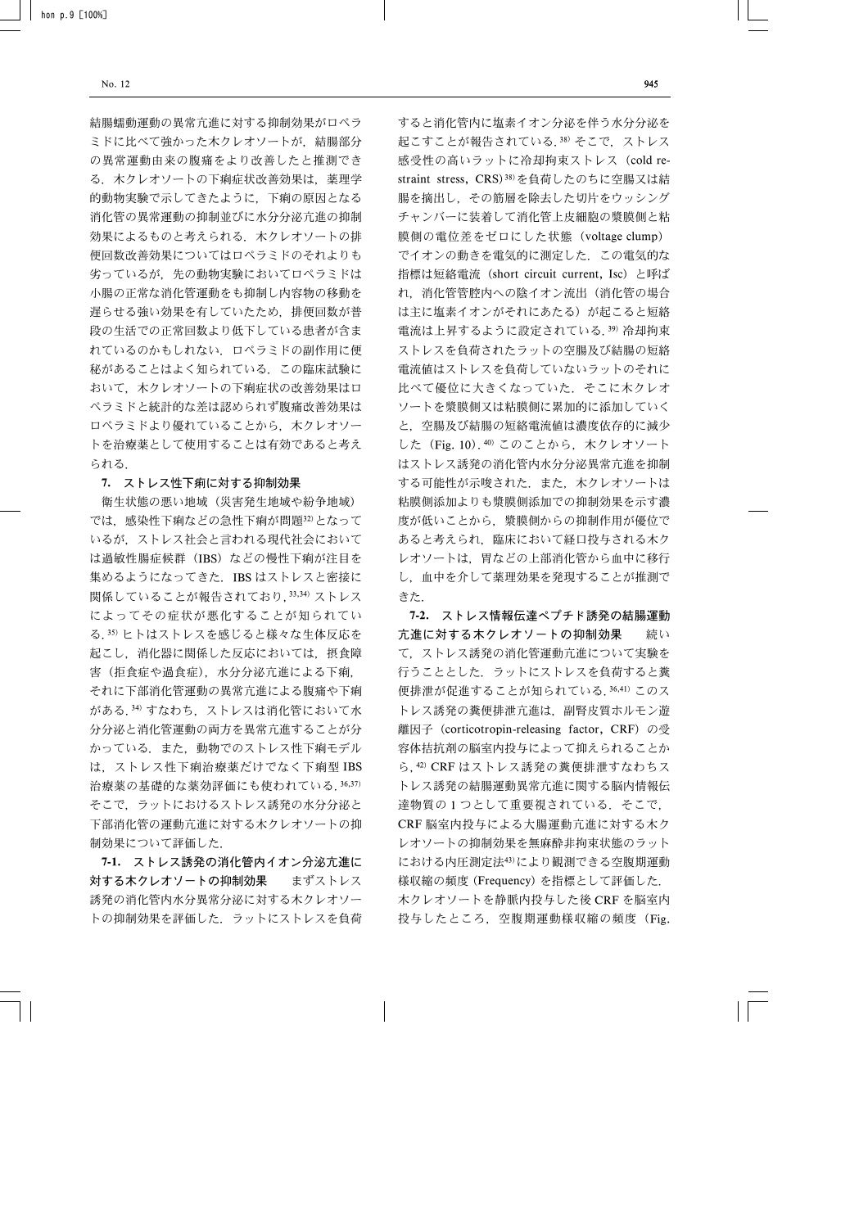結腸蠕動運動の異常亢進に対する抑制効果がロペラ ミドに比べて強かった木クレオソートが,結腸部分 の異常運動由来の腹痛をより改善したと推測でき る. 木クレオソートの下痢症状改善効果は、薬理学 的動物実験で示してきたように,下痢の原因となる 消化管の異常運動の抑制並びに水分分泌亢進の抑制 効果によるものと考えられる.木クレオソートの排 便回数改善効果についてはロペラミドのそれよりも 劣っているが,先の動物実験においてロペラミドは 小腸の正常な消化管運動をも抑制し内容物の移動を 遅らせる強い効果を有していたため,排便回数が普 段の生活での正常回数より低下している患者が含ま れているのかもしれない.ロペラミドの副作用に便 秘があることはよく知られている.この臨床試験に おいて,木クレオソートの下痢症状の改善効果はロ ペラミドと統計的な差は認められず腹痛改善効果は ロペラミドより優れていることから,木クレオソー トを治療薬として使用することは有効であると考え られる.

### 7. ストレス性下痢に対する抑制効果

衛生状態の悪い地域(災害発生地域や紛争地域) では、感染性下痢などの急性下痢が問題32)となって いるが,ストレス社会と言われる現代社会において は過敏性腸症候群(IBS)などの慢性下痢が注目を 集めるようになってきた.IBS はストレスと密接に 関係していることが報告されており,33,34) ストレス によってその症状が悪化することが知られてい る.35) ヒトはストレスを感じると様々な生体反応を 起こし,消化器に関係した反応においては,摂食障 害(拒食症や過食症),水分分泌亢進による下痢,

それに下部消化管運動の異常亢進による腹痛や下痢 がある.34) すなわち,ストレスは消化管において水 分分泌と消化管運動の両方を異常亢進することが分 かっている.また、動物でのストレス性下痢モデル は,ストレス性下痢治療薬だけでなく下痢型 IBS 治療薬の基礎的な薬効評価にも使われている.36,37) そこで,ラットにおけるストレス誘発の水分分泌と 下部消化管の運動亢進に対する木クレオソートの抑 制効果について評価した.

7-1. ストレス誘発の消化管内イオン分泌亢進に 対する木クレオソートの抑制効果 まずストレス 誘発の消化管内水分異常分泌に対する木クレオソー トの抑制効果を評価した.ラットにストレスを負荷 すると消化管内に塩素イオン分泌を伴う水分分泌を 起こすことが報告されている.38) そこで,ストレス 感受性の高いラットに冷却拘束ストレス(cold restraint stress, CRS)38)を負荷したのちに空腸又は結 腸を摘出し,その筋層を除去した切片をウッシング チャンバーに装着して消化管上皮細胞の漿膜側と粘 膜側の電位差をゼロにした状態(voltage clump) でイオンの動きを電気的に測定した.この電気的な 指標は短絡電流(short circuit current, Isc)と呼ば れ,消化管管腔内への陰イオン流出(消化管の場合 は主に塩素イオンがそれにあたる)が起こると短絡 電流は上昇するように設定されている.39) 冷却拘束 ストレスを負荷されたラットの空腸及び結腸の短絡 電流値はストレスを負荷していないラットのそれに 比べて優位に大きくなっていた.そこに木クレオ ソートを漿膜側又は粘膜側に累加的に添加していく と,空腸及び結腸の短絡電流値は濃度依存的に減少 した (Fig. 10).40) このことから, 木クレオソート はストレス誘発の消化管内水分分泌異常亢進を抑制 する可能性が示唆された.また,木クレオソートは 粘膜側添加よりも漿膜側添加での抑制効果を示す濃 度が低いことから,漿膜側からの抑制作用が優位で あると考えられ,臨床において経口投与される木ク レオソートは,胃などの上部消化管から血中に移行 し,血中を介して薬理効果を発現することが推測で きた.

7-2. ストレス情報伝達ペプチド誘発の結腸運動 亢進に対する木クレオソートの抑制効果 続い て,ストレス誘発の消化管運動亢進について実験を 行うこととした.ラットにストレスを負荷すると糞 便排泄が促進することが知られている.36,41) このス トレス誘発の糞便排泄亢進は,副腎皮質ホルモン遊 離因子 (corticotropin-releasing factor, CRF) の受 容体拮抗剤の脳室内投与によって抑えられることか ら,42) CRF はストレス誘発の糞便排泄すなわちス トレス誘発の結腸運動異常亢進に関する脳内情報伝 達物質の1つとして重要視されている. そこで. CRF 脳室内投与による大腸運動亢進に対する木ク レオソートの抑制効果を無麻酔非拘束状態のラット における内圧測定法43)により観測できる空腹期運動 様収縮の頻度(Frequency)を指標として評価した. 木クレオソートを静脈内投与した後 CRF を脳室内 投与したところ、空腹期運動様収縮の頻度 (Fig.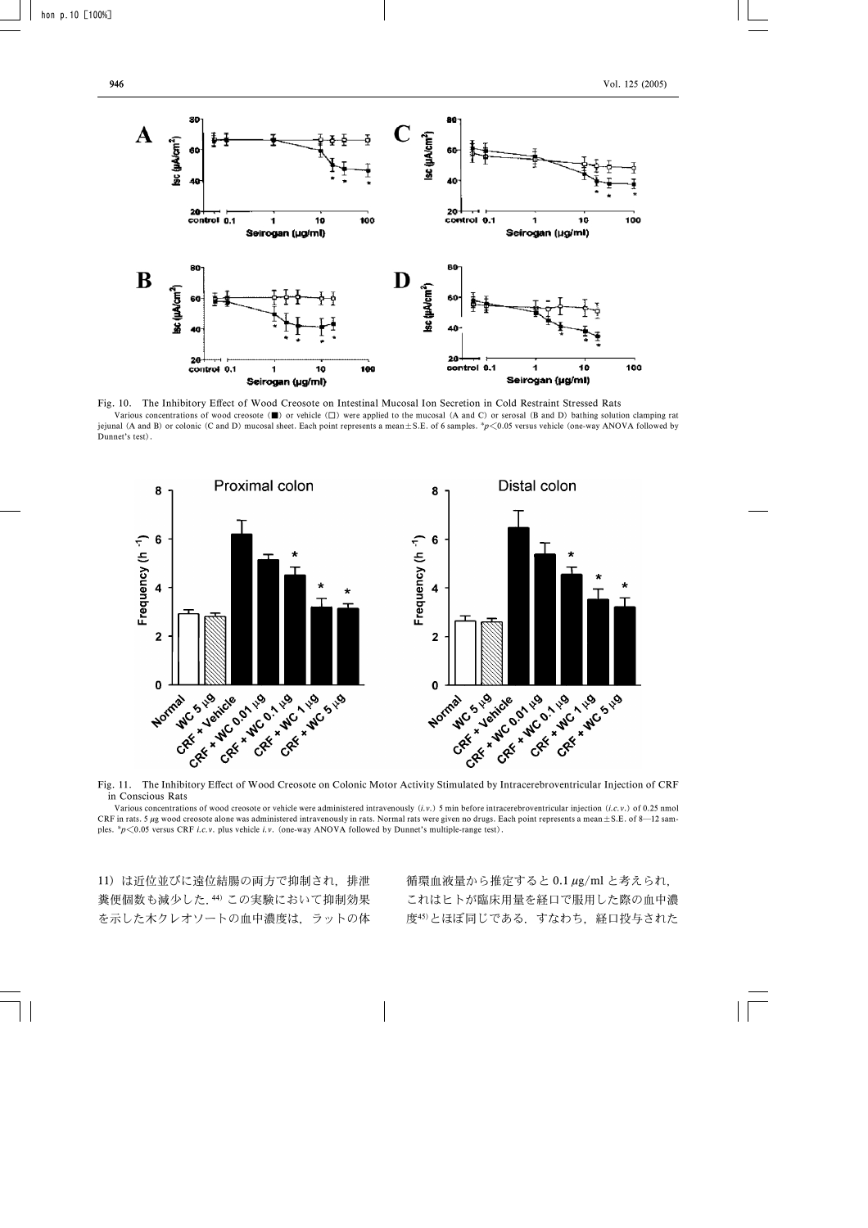

Fig. 10. The Inhibitory Effect of Wood Creosote on Intestinal Mucosal Ion Secretion in Cold Restraint Stressed Rats Various concentrations of wood creosote ( $\blacksquare$ ) or vehicle ( $\Box$ ) were applied to the mucosal (A and C) or serosal (B and D) bathing solution clamping rat jejunal (A and B) or colonic (C and D) mucosal sheet. Each point represents a mean  $\pm$  S.E. of 6 samples.  $\sqrt[p]{6}$  >  $\sqrt[3]{6}$  versus vehicle (one-way ANOVA followed by Dunnet's test).



Fig. 11. The Inhibitory Effect of Wood Creosote on Colonic Motor Activity Stimulated by Intracerebroventricular Injection of CRF in Conscious Rats

Various concentrations of wood creosote or vehicle were administered intravenously  $(i, v, )$  5 min before intracerebroventricular injection  $(i, c, v, )$  of 0.25 nmol CRF in rats. 5  $\mu$ g wood creosote alone was administered intravenously in rats. Normal rats were given no drugs. Each point represents a mean $\pm$ S.E. of 8–12 samples.  $\sqrt[4]{60.05}$  versus CRF *i.c.v.* plus vehicle *i.v.* (one-way ANOVA followed by Dunnet's multiple-range test).

11)は近位並びに遠位結腸の両方で抑制され、排泄 糞便個数も減少した.44) この実験において抑制効果 を示した木クレオソートの血中濃度は,ラットの体 循環血液量から推定すると 0.1 mg/ml と考えられ, これはヒトが臨床用量を経口で服用した際の血中濃 度45)とほぼ同じである。すなわち、経口投与された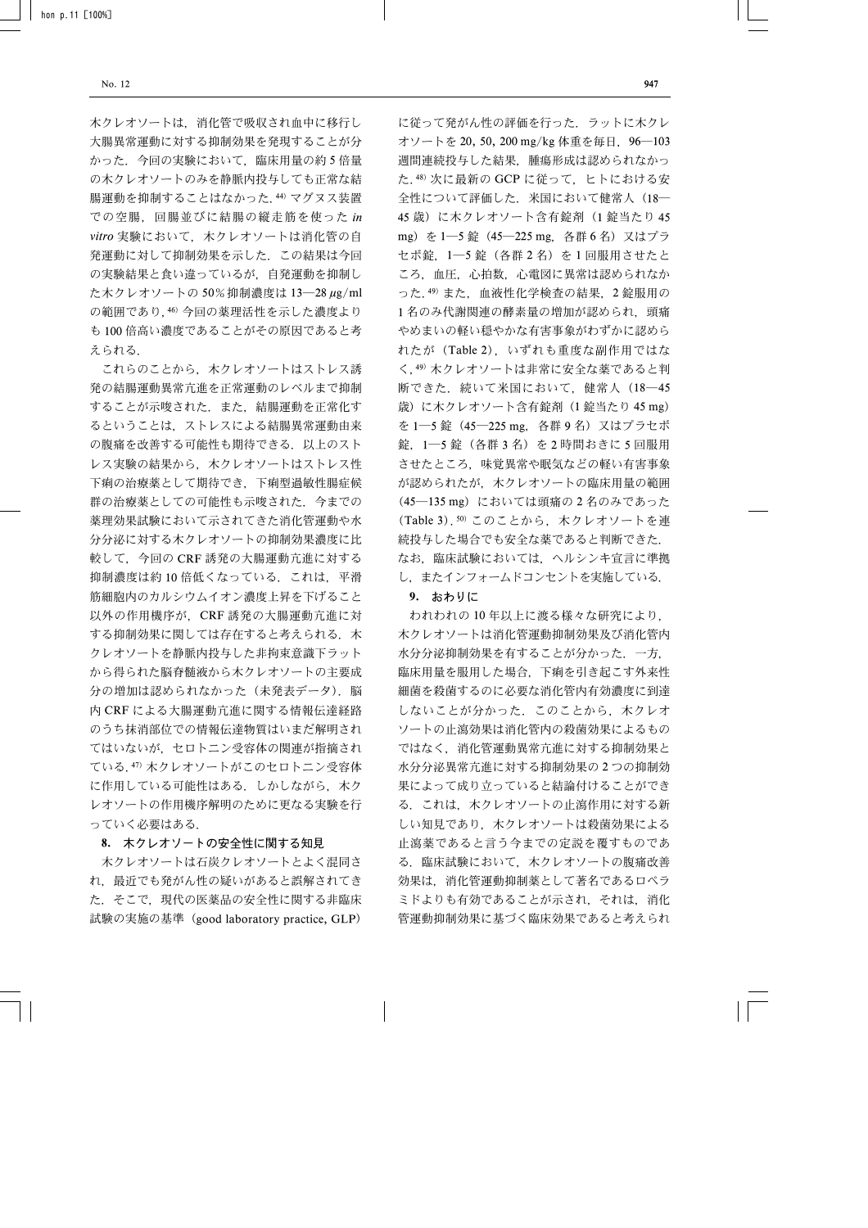木クレオソートは,消化管で吸収され血中に移行し 大腸異常運動に対する抑制効果を発現することが分 かった.今回の実験において,臨床用量の約 5 倍量 の木クレオソートのみを静脈内投与しても正常な結 腸運動を抑制することはなかった.44) マグヌス装置 での空腸,回腸並びに結腸の縦走筋を使った in vitro 実験において、木クレオソートは消化管の自 発運動に対して抑制効果を示した.この結果は今回 の実験結果と食い違っているが,自発運動を抑制し た木クレオソートの 50%抑制濃度は 13-28 μg/ml の範囲であり,46) 今回の薬理活性を示した濃度より も 100 倍高い濃度であることがその原因であると考 えられる.

これらのことから,木クレオソートはストレス誘 発の結腸運動異常亢進を正常運動のレベルまで抑制 することが示唆された.また,結腸運動を正常化す るということは,ストレスによる結腸異常運動由来 の腹痛を改善する可能性も期待できる. 以上のスト レス実験の結果から,木クレオソートはストレス性 下痢の治療薬として期待でき,下痢型過敏性腸症候 群の治療薬としての可能性も示唆された.今までの 薬理効果試験において示されてきた消化管運動や水 分分泌に対する木クレオソートの抑制効果濃度に比 較して,今回の CRF 誘発の大腸運動亢進に対する 抑制濃度は約10倍低くなっている. これは、平滑 筋細胞内のカルシウムイオン濃度上昇を下げること 以外の作用機序が、CRF 誘発の大腸運動亢進に対 する抑制効果に関しては存在すると考えられる. 木 クレオソートを静脈内投与した非拘束意識下ラット から得られた脳脊髄液から木クレオソートの主要成 分の増加は認められなかった(未発表データ). 脳 内 CRF による大腸運動亢進に関する情報伝達経路 のうち抹消部位での情報伝達物質はいまだ解明され てはいないが,セロトニン受容体の関連が指摘され ている.47) 木クレオソートがこのセロトニン受容体 に作用している可能性はある。しかしながら、木ク レオソートの作用機序解明のために更なる実験を行 っていく必要はある.

## 8. 木クレオソートの安全性に関する知見

木クレオソートは石炭クレオソートとよく混同さ れ,最近でも発がん性の疑いがあると誤解されてき た.そこで,現代の医薬品の安全性に関する非臨床 試験の実施の基準(good laboratory practice, GLP)

に従って発がん性の評価を行った.ラットに木クレ オソートを 20, 50, 200 mg/kg 体重を毎日, 96-103 週間連続投与した結果,腫瘍形成は認められなかっ た.48) 次に最新の GCP に従って,ヒトにおける安 全性について評価した. 米国において健常人 (18– 45 歳)に木クレオソート含有錠剤(1 錠当たり 45 mg)を 1―5 錠(45―225 mg,各群 6 名)又はプラ セボ錠,1―5 錠(各群 2 名)を 1 回服用させたと ころ,血圧,心拍数,心電図に異常は認められなか った.49) また,血液性化学検査の結果,2 錠服用の 1名のみ代謝関連の酵素量の増加が認められ、頭痛 やめまいの軽い穏やかな有害事象がわずかに認めら れたが(Table 2),いずれも重度な副作用ではな く,49) 木クレオソートは非常に安全な薬であると判 断できた.続いて米国において、健常人 (18-45 歳)に木クレオソート含有錠剤(1 錠当たり 45 mg) を 1―5 錠(45―225 mg,各群 9 名)又はプラセボ 錠, 1–5錠 (各群3名)を2時間おきに5回服用 させたところ,味覚異常や眠気などの軽い有害事象 が認められたが,木クレオソートの臨床用量の範囲 (45-135 mg) においては頭痛の 2名のみであった (Table 3).50) このことから,木クレオソートを連 続投与した場合でも安全な薬であると判断できた. なお,臨床試験においては,ヘルシンキ宣言に準拠 し,またインフォームドコンセントを実施している.

#### 9. おわりに

われわれの 10 年以上に渡る様々な研究により, 木クレオソートは消化管運動抑制効果及び消化管内 水分分泌抑制効果を有することが分かった.一方, 臨床用量を服用した場合,下痢を引き起こす外来性 細菌を殺菌するのに必要な消化管内有効濃度に到達 しないことが分かった.このことから,木クレオ ソートの止瀉効果は消化管内の殺菌効果によるもの ではなく,消化管運動異常亢進に対する抑制効果と 水分分泌異常亢進に対する抑制効果の 2 つの抑制効 果によって成り立っていると結論付けることができ る.これは,木クレオソートの止瀉作用に対する新 しい知見であり,木クレオソートは殺菌効果による 止瀉薬であると言う今までの定説を覆すものであ る.臨床試験において,木クレオソートの腹痛改善 効果は,消化管運動抑制薬として著名であるロペラ ミドよりも有効であることが示され,それは,消化 管運動抑制効果に基づく臨床効果であると考えられ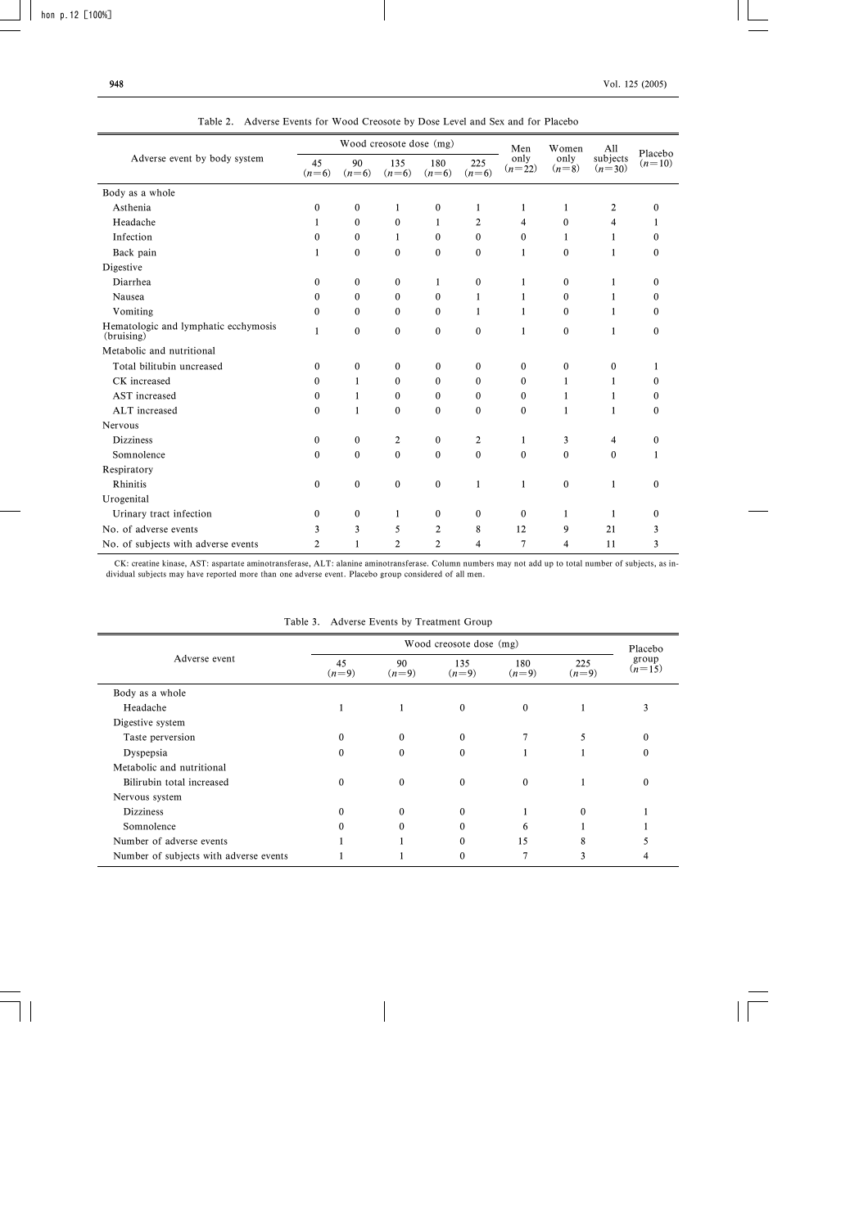|                                                    | Wood creosote dose (mg) |                  |                  |                  | Men            | Women            | All              |                      |                     |
|----------------------------------------------------|-------------------------|------------------|------------------|------------------|----------------|------------------|------------------|----------------------|---------------------|
| Adverse event by body system                       | 45<br>$(n=6)$           | 90<br>$(n=6)$    | 135<br>$(n=6)$   | 180<br>$(n=6)$   | 225<br>$(n=6)$ | only<br>$(n=22)$ | only<br>$(n=8)$  | subjects<br>$(n=30)$ | Placebo<br>$(n=10)$ |
| Body as a whole                                    |                         |                  |                  |                  |                |                  |                  |                      |                     |
| Asthenia                                           | $\mathbf{0}$            | $\mathbf{0}$     | 1                | $\mathbf{0}$     | $\mathbf{1}$   | $\mathbf{1}$     | $\mathbf{1}$     | 2                    | $\theta$            |
| Headache                                           | 1                       | $\mathbf{0}$     | $\Omega$         | 1                | $\overline{2}$ | 4                | $\mathbf{0}$     | 4                    | 1                   |
| Infection                                          | $\Omega$                | $\theta$         | 1                | $\Omega$         | $\theta$       | $\theta$         | $\mathbf{1}$     | 1                    | $\Omega$            |
| Back pain                                          | 1                       | $\mathbf{0}$     | $\boldsymbol{0}$ | $\boldsymbol{0}$ | $\mathbf{0}$   | $\mathbf{1}$     | $\boldsymbol{0}$ | $\mathbf{1}$         | $\theta$            |
| Digestive                                          |                         |                  |                  |                  |                |                  |                  |                      |                     |
| Diarrhea                                           | $\mathbf{0}$            | $\mathbf{0}$     | $\mathbf{0}$     | 1                | $\mathbf{0}$   | 1                | $\mathbf{0}$     | 1                    | $\Omega$            |
| Nausea                                             | $\theta$                | $\theta$         | $\Omega$         | $\theta$         | 1              | $\mathbf{1}$     | $\mathbf{0}$     | $\mathbf{1}$         | $\Omega$            |
| Vomiting                                           | $\theta$                | $\theta$         | $\Omega$         | $\Omega$         | 1              | 1                | $\mathbf{0}$     | 1                    | $\Omega$            |
| Hematologic and lymphatic ecchymosis<br>(bruising) | $\mathbf{1}$            | 0                | $\boldsymbol{0}$ | $\mathbf{0}$     | $\mathbf{0}$   | $\mathbf{1}$     | $\boldsymbol{0}$ | $\mathbf{1}$         | $\mathbf{0}$        |
| Metabolic and nutritional                          |                         |                  |                  |                  |                |                  |                  |                      |                     |
| Total bilitubin uncreased                          | $\theta$                | $\boldsymbol{0}$ | $\mathbf{0}$     | $\Omega$         | $\theta$       | $\mathbf{0}$     | $\boldsymbol{0}$ | $\theta$             | 1                   |
| CK increased                                       | $\Omega$                | 1                | $\theta$         | $\Omega$         | $\theta$       | $\theta$         | 1                | 1                    | 0                   |
| AST increased                                      | $\Omega$                | 1                | $\Omega$         | $\Omega$         | $\Omega$       | $\theta$         | 1                | 1                    | $\Omega$            |
| ALT increased                                      | 0                       | 1                | $\mathbf{0}$     | $\mathbf{0}$     | $\mathbf{0}$   | $\mathbf{0}$     | 1                | $\mathbf{1}$         | $\boldsymbol{0}$    |
| <b>Nervous</b>                                     |                         |                  |                  |                  |                |                  |                  |                      |                     |
| <b>Dizziness</b>                                   | $\mathbf{0}$            | $\mathbf{0}$     | 2                | $\mathbf{0}$     | $\overline{2}$ | $\mathbf{1}$     | 3                | 4                    | $\theta$            |
| Somnolence                                         | $\boldsymbol{0}$        | $\mathbf{0}$     | $\mathbf{0}$     | $\mathbf{0}$     | $\theta$       | $\mathbf{0}$     | $\mathbf{0}$     | $\boldsymbol{0}$     | 1                   |
| Respiratory                                        |                         |                  |                  |                  |                |                  |                  |                      |                     |
| Rhinitis                                           | $\mathbf{0}$            | $\mathbf{0}$     | $\mathbf{0}$     | $\mathbf{0}$     | $\mathbf{1}$   | $\mathbf{1}$     | $\mathbf{0}$     | $\mathbf{1}$         | $\Omega$            |
| Urogenital                                         |                         |                  |                  |                  |                |                  |                  |                      |                     |
| Urinary tract infection                            | $\theta$                | $\boldsymbol{0}$ | 1                | $\mathbf{0}$     | $\mathbf{0}$   | $\mathbf{0}$     | $\mathbf{1}$     | 1                    | $\theta$            |
| No. of adverse events                              | 3                       | 3                | 5                | 2                | 8              | 12               | 9                | 21                   | 3                   |
| No. of subjects with adverse events                | $\overline{2}$          | 1                | $\overline{c}$   | $\overline{c}$   | 4              | 7                | 4                | 11                   | 3                   |

Table 2. Adverse Events for Wood Creosote by Dose Level and Sex and for Placebo

CK: creatine kinase, AST: aspartate aminotransferase, ALT: alanine aminotransferase. Column numbers may not add up to total number of subjects, as individual subjects may have reported more than one adverse event. Placebo group considered of all men.

| Adverse event                          |               | Placebo       |                |                |                |                   |
|----------------------------------------|---------------|---------------|----------------|----------------|----------------|-------------------|
|                                        | 45<br>$(n=9)$ | 90<br>$(n=9)$ | 135<br>$(n=9)$ | 180<br>$(n=9)$ | 225<br>$(n=9)$ | group<br>$(n=15)$ |
| Body as a whole                        |               |               |                |                |                |                   |
| Headache                               |               |               | $\theta$       | $\Omega$       | 1              | 3                 |
| Digestive system                       |               |               |                |                |                |                   |
| Taste perversion                       | $\theta$      | $\theta$      | $\theta$       |                | 5              | $\Omega$          |
| Dyspepsia                              | $\Omega$      | $\Omega$      | $\theta$       |                |                | 0                 |
| Metabolic and nutritional              |               |               |                |                |                |                   |
| Bilirubin total increased              | $\theta$      | $\theta$      | $\theta$       | $\theta$       |                | $\Omega$          |
| Nervous system                         |               |               |                |                |                |                   |
| <b>Dizziness</b>                       | $\Omega$      | $\Omega$      | $\Omega$       |                | $\theta$       |                   |
| Somnolence                             | $\Omega$      | 0             | $\theta$       | 6              |                |                   |
| Number of adverse events               |               |               | $\Omega$       | 15             | 8              |                   |
| Number of subjects with adverse events |               |               | $\Omega$       |                | 3              | 4                 |

Table 3. Adverse Events by Treatment Group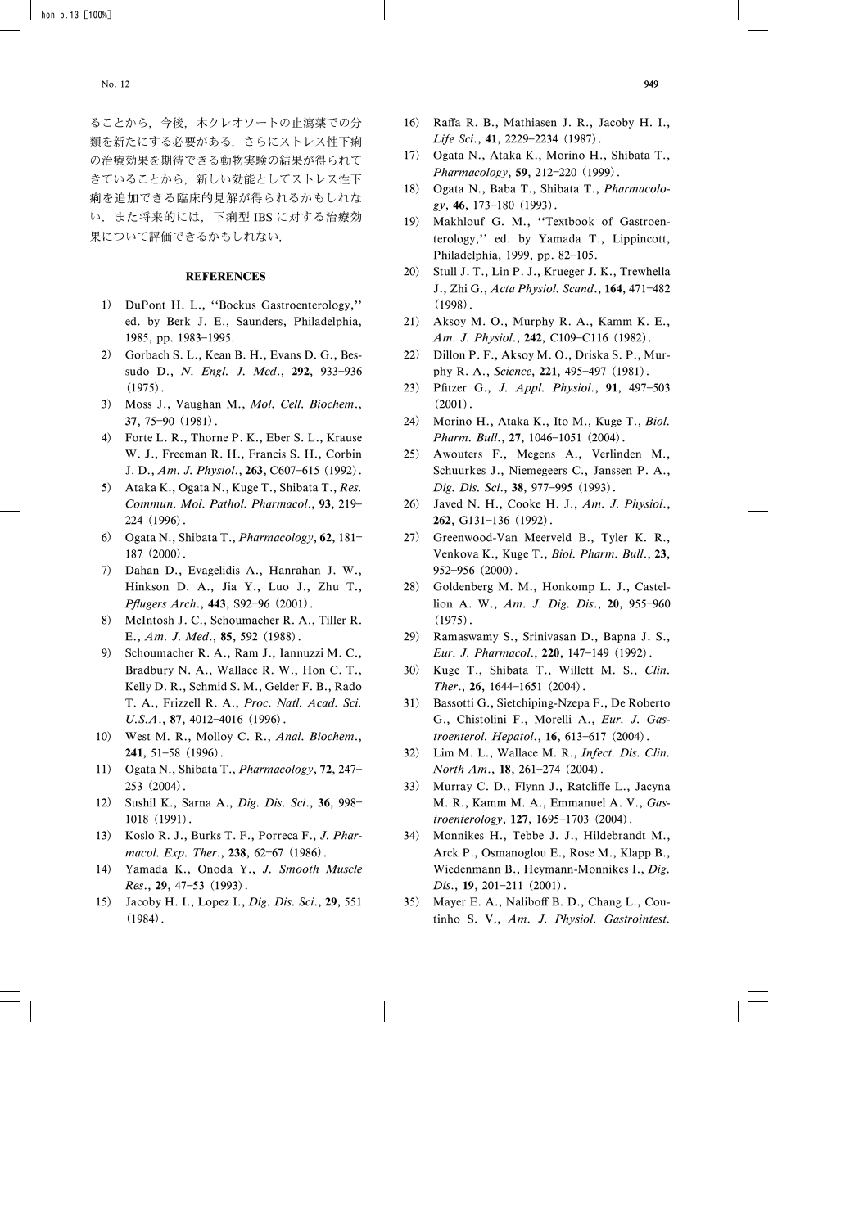ることから,今後,木クレオソートの止瀉薬での分 類を新たにする必要がある. さらにストレス性下痢 の治療効果を期待できる動物実験の結果が得られて きていることから,新しい効能としてストレス性下 痢を追加できる臨床的見解が得られるかもしれな い.また将来的には,下痢型 IBS に対する治療効 果について評価できるかもしれない.

#### **REFERENCES**

- 1) DuPont H. L., "Bockus Gastroenterology," ed. by Berk J. E., Saunders, Philadelphia, 1985, pp. 1983-1995.
- 2) Gorbach S. L., Kean B. H., Evans D. G., Bessudo D., N. Engl. J. Med., 292, 933-936  $(1975)$ .
- 3) Moss J., Vaughan M., Mol. Cell. Biochem., 37, 7590 (1981).
- 4) Forte L. R., Thorne P. K., Eber S. L., Krause W. J., Freeman R. H., Francis S. H., Corbin J. D., Am. J. Physiol., 263, C607-615 (1992).
- 5) Ataka K., Ogata N., Kuge T., Shibata T., Res. Commun. Mol. Pathol. Pharmacol., 93, 219 224 (1996).
- 6) Ogata N., Shibata T., Pharmacology, 62, 181 187 (2000).
- 7) Dahan D., Evagelidis A., Hanrahan J. W., Hinkson D. A., Jia Y., Luo J., Zhu T., Pflugers Arch., 443, S92-96 (2001).
- 8) McIntosh J. C., Schoumacher R. A., Tiller R. E., Am. J. Med., 85, 592 (1988).
- 9) Schoumacher R. A., Ram J., Iannuzzi M. C., Bradbury N. A., Wallace R. W., Hon C. T., Kelly D. R., Schmid S. M., Gelder F. B., Rado T. A., Frizzell R. A., Proc. Natl. Acad. Sci.  $U.S.A., 87, 4012-4016$  (1996).
- 10) West M. R., Molloy C. R., Anal. Biochem., 241, 51-58 (1996).
- 11) Ogata N., Shibata T., Pharmacology, 72, 247-253 (2004).
- 12) Sushil K., Sarna A., Dig. Dis. Sci., 36, 998 1018 (1991).
- 13) Koslo R. J., Burks T. F., Porreca F., J. Pharmacol. Exp. Ther., 238, 62-67 (1986).
- 14) Yamada K., Onoda Y., J. Smooth Muscle Res., 29, 47–53  $(1993)$ .
- 15) Jacoby H. I., Lopez I., Dig. Dis. Sci., 29, 551 (1984).
- 16) Raffa R. B., Mathiasen J. R., Jacoby H. I., Life Sci., 41, 2229-2234 (1987).
- 17) Ogata N., Ataka K., Morino H., Shibata T., Pharmacology, 59, 212-220 (1999).
- 18) Ogata N., Baba T., Shibata T., Pharmacolo $gy, 46, 173-180$  (1993).
- 19) Makhlouf G. M., "Textbook of Gastroenterology,'' ed. by Yamada T., Lippincott, Philadelphia, 1999, pp. 82-105.
- 20) Stull J. T., Lin P. J., Krueger J. K., Trewhella J., Zhi G., Acta Physiol. Scand., 164, 471-482 (1998).
- 21) Aksoy M. O., Murphy R. A., Kamm K. E., Am. J. Physiol., 242, C109-C116 (1982).
- 22) Dillon P. F., Aksoy M. O., Driska S. P., Murphy R. A., Science, 221, 495-497 (1981).
- 23) Pfitzer G., J. Appl. Physiol., 91, 497-503  $(2001)$ .
- 24) Morino H., Ataka K., Ito M., Kuge T., Biol. Pharm. Bull., 27, 1046-1051 (2004).
- 25) Awouters F., Megens A., Verlinden M., Schuurkes J., Niemegeers C., Janssen P. A., Dig. Dis. Sci., 38, 977-995 (1993).
- 26) Javed N. H., Cooke H. J., Am. J. Physiol., 262, G131-136 (1992).
- 27) Greenwood-Van Meerveld B., Tyler K. R., Venkova K., Kuge T., Biol. Pharm. Bull., 23, 952956 (2000).
- 28) Goldenberg M. M., Honkomp L. J., Castellion A. W., Am. J. Dig. Dis., 20, 955-960  $(1975)$ .
- 29) Ramaswamy S., Srinivasan D., Bapna J. S., Eur. J. Pharmacol., 220, 147-149 (1992).
- 30) Kuge T., Shibata T., Willett M. S., Clin. Ther.,  $26$ ,  $1644-1651$  (2004).
- 31) Bassotti G., Sietchiping-Nzepa F., De Roberto G., Chistolini F., Morelli A., Eur. J. Gastroenterol. Hepatol.,  $16, 613-617$  (2004).
- 32) Lim M. L., Wallace M. R., *Infect. Dis. Clin.* North Am.,  $18$ ,  $261-274$  (2004).
- 33) Murray C. D., Flynn J., Ratcliffe L., Jacyna M. R., Kamm M. A., Emmanuel A. V., Gastroenterology, 127, 1695-1703 (2004).
- 34) Monnikes H., Tebbe J. J., Hildebrandt M., Arck P., Osmanoglou E., Rose M., Klapp B., Wiedenmann B., Heymann-Monnikes I., Dig. Dis.,  $19$ ,  $201-211$  (2001).
- 35) Mayer E. A., Naliboff B. D., Chang L., Coutinho S. V., Am. J. Physiol. Gastrointest.